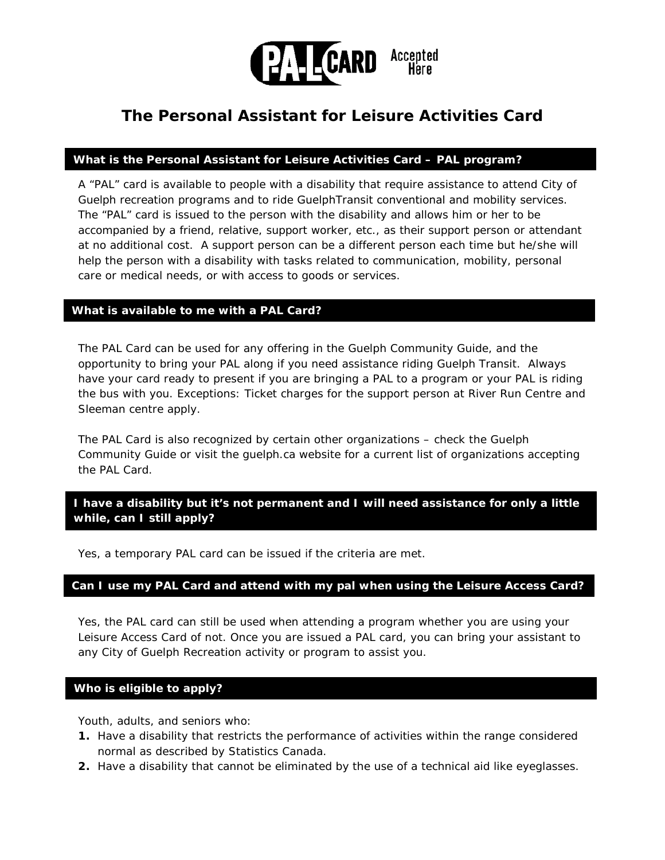

# **The Personal Assistant for Leisure Activities Card**

#### **What is the Personal Assistant for Leisure Activities Card – PAL program?**

A "PAL" card is available to people with a disability that require assistance to attend City of Guelph recreation programs and to ride GuelphTransit conventional and mobility services. The "PAL" card is issued to the person with the disability and allows him or her to be accompanied by a friend, relative, support worker, etc., as their support person or attendant at no additional cost. A support person can be a different person each time but he/she will help the person with a disability with tasks related to communication, mobility, personal care or medical needs, or with access to goods or services.

#### **What is available to me with a PAL Card?**

The PAL Card can be used for any offering in the Guelph Community Guide, and the opportunity to bring your PAL along if you need assistance riding Guelph Transit. Always have your card ready to present if you are bringing a PAL to a program or your PAL is riding the bus with you. Exceptions: Ticket charges for the support person at River Run Centre and Sleeman centre apply.

The PAL Card is also recognized by certain other organizations – check the Guelph Community Guide or visit the guelph.ca website for a current list of organizations accepting the PAL Card.

## **I have a disability but it's not permanent and I will need assistance for only a little while, can I still apply?**

Yes, a temporary PAL card can be issued if the criteria are met.

#### **Can I use my PAL Card and attend with my pal when using the Leisure Access Card?**

Yes, the PAL card can still be used when attending a program whether you are using your Leisure Access Card of not. Once you are issued a PAL card, you can bring your assistant to any City of Guelph Recreation activity or program to assist you.

#### **Who is eligible to apply?**

Youth, adults, and seniors who:

- **1.** Have a disability that restricts the performance of activities within the range considered normal as described by Statistics Canada.
- **2.** Have a disability that cannot be eliminated by the use of a technical aid like eyeglasses.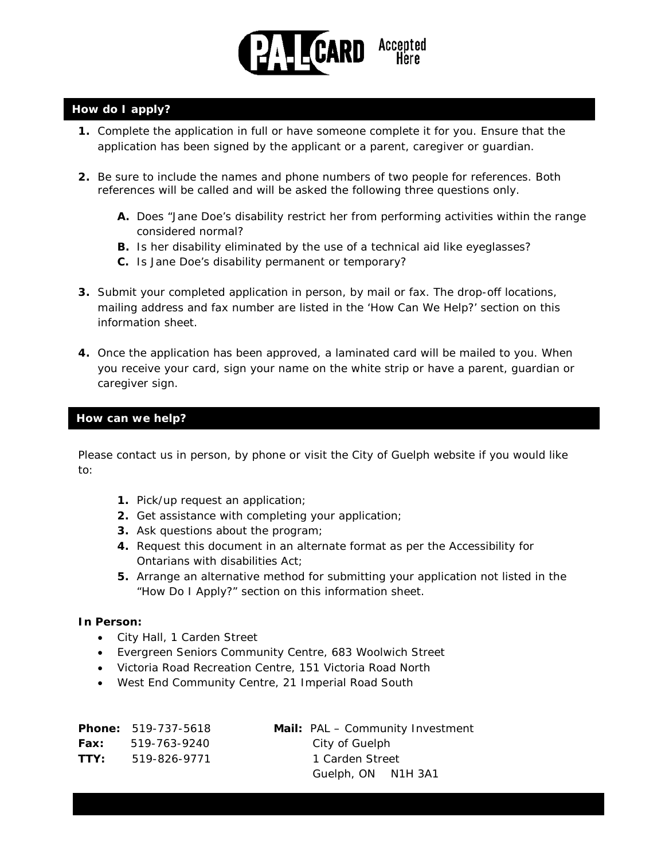

## **How do I apply?**

- **1.** Complete the application in full or have someone complete it for you. Ensure that the application has been signed by the applicant or a parent, caregiver or guardian.
- **2.** Be sure to include the names and phone numbers of two people for references. Both references will be called and will be asked the following three questions only.
	- **A.** Does "Jane Doe's disability restrict her from performing activities within the range considered normal?
	- **B.** Is her disability eliminated by the use of a technical aid like eyeglasses?
	- **C.** Is Jane Doe's disability permanent or temporary?
- **3.** Submit your completed application in person, by mail or fax. The drop-off locations, mailing address and fax number are listed in the 'How Can We Help?' section on this information sheet.
- **4.** Once the application has been approved, a laminated card will be mailed to you. When you receive your card, sign your name on the white strip or have a parent, guardian or caregiver sign.

#### **How can we help?**

Please contact us in person, by phone or visit the City of Guelph website if you would like to:

- **1.** Pick/up request an application;
- **2.** Get assistance with completing your application;
- **3.** Ask questions about the program;
- **4.** Request this document in an alternate format as per the Accessibility for Ontarians with disabilities Act;
- **5.** Arrange an alternative method for submitting your application not listed in the "How Do I Apply?" section on this information sheet.

#### **In Person:**

- City Hall, 1 Carden Street
- Evergreen Seniors Community Centre, 683 Woolwich Street
- Victoria Road Recreation Centre, 151 Victoria Road North
- West End Community Centre, 21 Imperial Road South

|      | <b>Phone: 519-737-5618</b> | <b>Mail:</b> PAL – Community Investment |
|------|----------------------------|-----------------------------------------|
| Fax: | 519-763-9240               | City of Guelph                          |
| TTY: | 519-826-9771               | 1 Carden Street                         |
|      |                            | Guelph, ON N1H 3A1                      |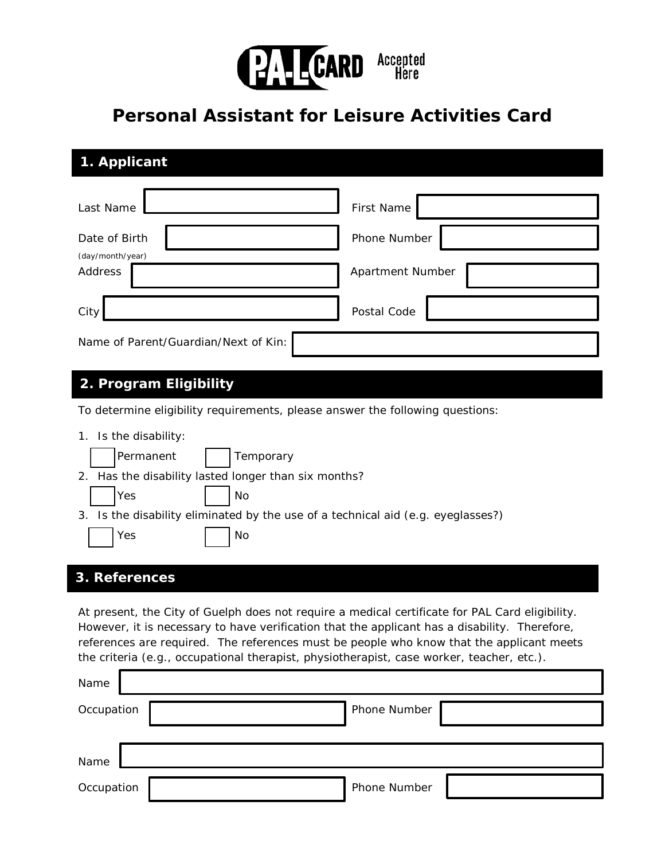

# **Personal Assistant for Leisure Activities Card**

| 1. Applicant                         |                   |  |  |  |  |
|--------------------------------------|-------------------|--|--|--|--|
| Last Name                            | <b>First Name</b> |  |  |  |  |
| Date of Birth<br>(day/month/year)    | Phone Number      |  |  |  |  |
| Address                              | Apartment Number  |  |  |  |  |
| City                                 | Postal Code       |  |  |  |  |
| Name of Parent/Guardian/Next of Kin: |                   |  |  |  |  |

# **2. Program Eligibility**

To determine eligibility requirements, please answer the following questions:

| Is the disability:<br>1.                                |                                                                                  |  |  |  |
|---------------------------------------------------------|----------------------------------------------------------------------------------|--|--|--|
| Permanent                                               | Temporary                                                                        |  |  |  |
| Has the disability lasted longer than six months?<br>2. |                                                                                  |  |  |  |
| Yes                                                     | No                                                                               |  |  |  |
|                                                         | 3. Is the disability eliminated by the use of a technical aid (e.g. eyeglasses?) |  |  |  |
| Yes                                                     | No                                                                               |  |  |  |
| 3. References                                           |                                                                                  |  |  |  |

At present, the City of Guelph does not require a medical certificate for PAL Card eligibility. However, it is necessary to have verification that the applicant has a disability. Therefore, references are required. The references must be people who know that the applicant meets the criteria (e.g., occupational therapist, physiotherapist, case worker, teacher, etc.).

| Name       |              |
|------------|--------------|
| Occupation | Phone Number |
|            |              |
| Name       |              |
| Occupation | Phone Number |